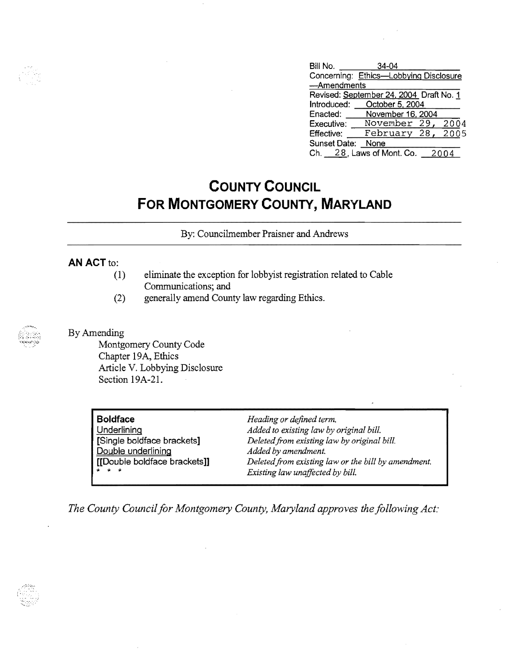| Bill No.                                | $34 - 04$                              |  |  |  |
|-----------------------------------------|----------------------------------------|--|--|--|
|                                         | Concerning: Ethics-Lobbying Disclosure |  |  |  |
| -Amendments                             |                                        |  |  |  |
| Revised: September 24, 2004 Draft No. 1 |                                        |  |  |  |
| Introduced:                             | October 5, 2004                        |  |  |  |
| Enacted:                                | November 16, 2004                      |  |  |  |
| Executive:                              | November 29,<br>2004                   |  |  |  |
| <b>Effective:</b>                       | 2005<br>February 28,                   |  |  |  |
| Sunset Date:                            | None                                   |  |  |  |
| Ch. I                                   | 28, Laws of Mont. Co.                  |  |  |  |

## **COUNTY COUNCIL FOR MONTGOMERY COUNTY, MARYLAND**

By: Councihnember Praisner and Andrews

## **AN ACT to:**

- (1) eliminate the exception for lobbyist registration related to Cable Communications; and
- (2) generally amend County law regarding Ethics.

By Amending

Montgomery County Code Chapter 19A, Ethics Article V. Lobbying Disclosure Section 19A-21.

| <b>Boldface</b>                                    |  |
|----------------------------------------------------|--|
| Underlining                                        |  |
| [Single boldface brackets]                         |  |
|                                                    |  |
| Double underlining<br>[[Double boldface brackets]] |  |
|                                                    |  |

**Boldface** *Heading or defined term.*  Added to existing law by original bill. [Single boldface brackets] *Deletedfrom existing law by original bill.*  Added by amendment. Deleted from existing law or the bill by amendment.<br>*Existing law unaffected by bill.* 

*The County Council for Montgomery County, Maryland approves the following Act,·*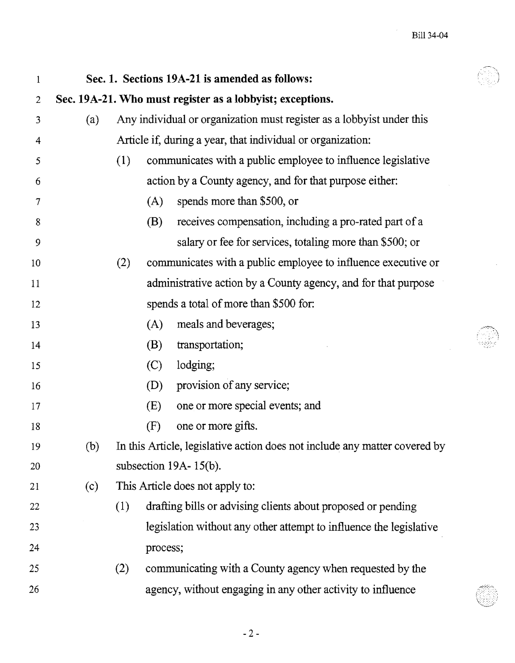| $\mathbf{1}$   |                                                           |     |          | Sec. 1. Sections 19A-21 is amended as follows:                             |  |  |
|----------------|-----------------------------------------------------------|-----|----------|----------------------------------------------------------------------------|--|--|
| $\overline{2}$ | Sec. 19A-21. Who must register as a lobbyist; exceptions. |     |          |                                                                            |  |  |
| 3              | (a)                                                       |     |          | Any individual or organization must register as a lobbyist under this      |  |  |
| $\overline{4}$ |                                                           |     |          | Article if, during a year, that individual or organization:                |  |  |
| 5              |                                                           | (1) |          | communicates with a public employee to influence legislative               |  |  |
| 6              |                                                           |     |          | action by a County agency, and for that purpose either:                    |  |  |
| $\tau$         |                                                           |     | (A)      | spends more than \$500, or                                                 |  |  |
| 8              |                                                           |     | (B)      | receives compensation, including a pro-rated part of a                     |  |  |
| 9              |                                                           |     |          | salary or fee for services, totaling more than \$500; or                   |  |  |
| 10             |                                                           | (2) |          | communicates with a public employee to influence executive or              |  |  |
| 11             |                                                           |     |          | administrative action by a County agency, and for that purpose             |  |  |
| 12             |                                                           |     |          | spends a total of more than \$500 for:                                     |  |  |
| 13             |                                                           |     | (A)      | meals and beverages;                                                       |  |  |
| 14             |                                                           |     | (B)      | transportation;                                                            |  |  |
| 15             |                                                           |     | (C)      | lodging;                                                                   |  |  |
| 16             |                                                           |     | (D)      | provision of any service;                                                  |  |  |
| 17             |                                                           |     | (E)      | one or more special events; and                                            |  |  |
| 18             |                                                           |     | (F)      | one or more gifts.                                                         |  |  |
| 19             | (b)                                                       |     |          | In this Article, legislative action does not include any matter covered by |  |  |
| 20             |                                                           |     |          | subsection $19A - 15(b)$ .                                                 |  |  |
| 21             | (c)                                                       |     |          | This Article does not apply to:                                            |  |  |
| 22             |                                                           | (1) |          | drafting bills or advising clients about proposed or pending               |  |  |
| 23             |                                                           |     |          | legislation without any other attempt to influence the legislative         |  |  |
| 24             |                                                           |     | process; |                                                                            |  |  |
| 25             |                                                           | (2) |          | communicating with a County agency when requested by the                   |  |  |
| 26             |                                                           |     |          | agency, without engaging in any other activity to influence                |  |  |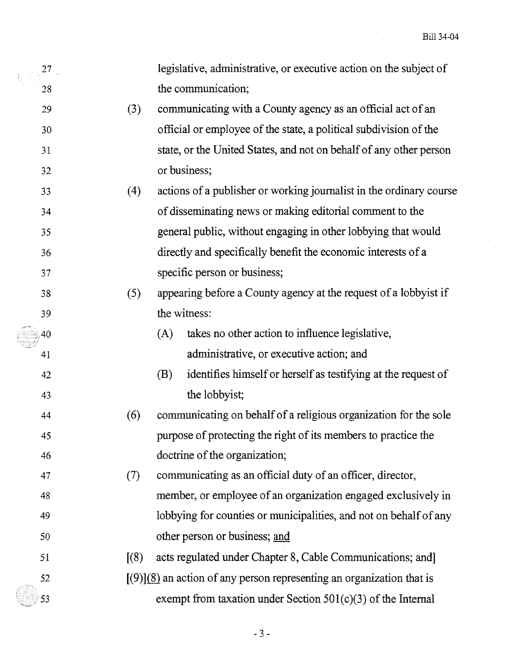| 27 |     |                                                             | legislative, administrative, or executive action on the subject of      |  |  |
|----|-----|-------------------------------------------------------------|-------------------------------------------------------------------------|--|--|
| 28 |     |                                                             | the communication;                                                      |  |  |
| 29 | (3) | communicating with a County agency as an official act of an |                                                                         |  |  |
| 30 |     |                                                             | official or employee of the state, a political subdivision of the       |  |  |
| 31 |     |                                                             | state, or the United States, and not on behalf of any other person      |  |  |
| 32 |     |                                                             | or business;                                                            |  |  |
| 33 | (4) |                                                             | actions of a publisher or working journalist in the ordinary course     |  |  |
| 34 |     |                                                             | of disseminating news or making editorial comment to the                |  |  |
| 35 |     |                                                             | general public, without engaging in other lobbying that would           |  |  |
| 36 |     |                                                             | directly and specifically benefit the economic interests of a           |  |  |
| 37 |     |                                                             | specific person or business;                                            |  |  |
| 38 | (5) |                                                             | appearing before a County agency at the request of a lobby ist if       |  |  |
| 39 |     |                                                             | the witness:                                                            |  |  |
| 40 |     | (A)                                                         | takes no other action to influence legislative,                         |  |  |
| 41 |     |                                                             | administrative, or executive action; and                                |  |  |
| 42 |     | (B)                                                         | identifies himself or herself as testifying at the request of           |  |  |
| 43 |     |                                                             | the lobbyist;                                                           |  |  |
| 44 | (6) |                                                             | communicating on behalf of a religious organization for the sole        |  |  |
| 45 |     |                                                             | purpose of protecting the right of its members to practice the          |  |  |
| 46 |     |                                                             | doctrine of the organization;                                           |  |  |
| 47 | (7) |                                                             | communicating as an official duty of an officer, director,              |  |  |
| 48 |     |                                                             | member, or employee of an organization engaged exclusively in           |  |  |
| 49 |     |                                                             | lobbying for counties or municipalities, and not on behalf of any       |  |  |
| 50 |     |                                                             | other person or business; and                                           |  |  |
| 51 | (8) |                                                             | acts regulated under Chapter 8, Cable Communications; and               |  |  |
| 52 |     |                                                             | $[(9)](8)$ an action of any person representing an organization that is |  |  |
| 53 |     |                                                             | exempt from taxation under Section $501(c)(3)$ of the Internal          |  |  |